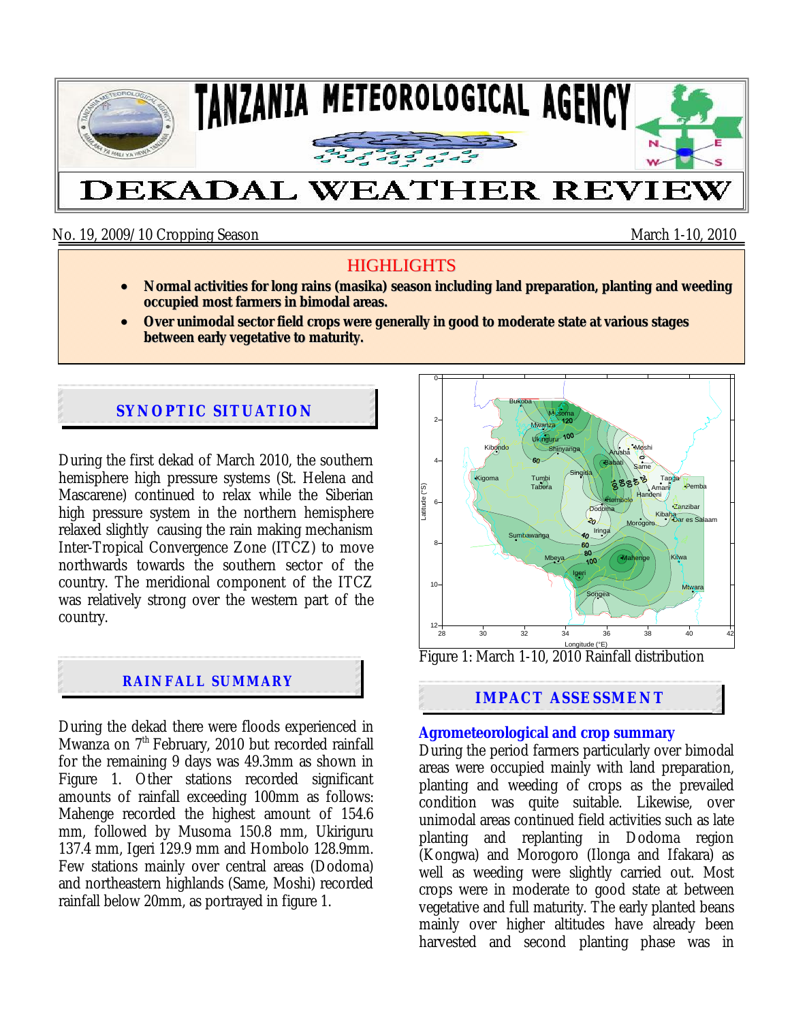

No. 19, 2009/10 Cropping Season March 1-10, 2010

# **HIGHLIGHTS**

- **Normal activities for long rains (masika) season including land preparation, planting and weeding occupied most farmers in bimodal areas.**
- **Over unimodal sector field crops were generally in good to moderate state at various stages between early vegetative to maturity.**

## **SYNOPTIC SITUATION**

During the first dekad of March 2010, the southern hemisphere high pressure systems (St. Helena and Mascarene) continued to relax while the Siberian high pressure system in the northern hemisphere relaxed slightly causing the rain making mechanism Inter-Tropical Convergence Zone (ITCZ) to move northwards towards the southern sector of the country. The meridional component of the ITCZ was relatively strong over the western part of the country.

#### **RAINFALL SUMMARY**

During the dekad there were floods experienced in Mwanza on 7<sup>th</sup> February, 2010 but recorded rainfall for the remaining 9 days was 49.3mm as shown in Figure 1. Other stations recorded significant amounts of rainfall exceeding 100mm as follows: Mahenge recorded the highest amount of 154.6 mm, followed by Musoma 150.8 mm, Ukiriguru 137.4 mm, Igeri 129.9 mm and Hombolo 128.9mm. Few stations mainly over central areas (Dodoma) and northeastern highlands (Same, Moshi) recorded rainfall below 20mm, as portrayed in figure 1.



Figure 1: March 1-10, 2010 Rainfall distribution

## **IMPACT ASSESSMENT**

#### **Agrometeorological and crop summary**

During the period farmers particularly over bimodal areas were occupied mainly with land preparation, planting and weeding of crops as the prevailed condition was quite suitable. Likewise, over unimodal areas continued field activities such as late planting and replanting in Dodoma region (Kongwa) and Morogoro (Ilonga and Ifakara) as well as weeding were slightly carried out. Most crops were in moderate to good state at between vegetative and full maturity. The early planted beans mainly over higher altitudes have already been harvested and second planting phase was in